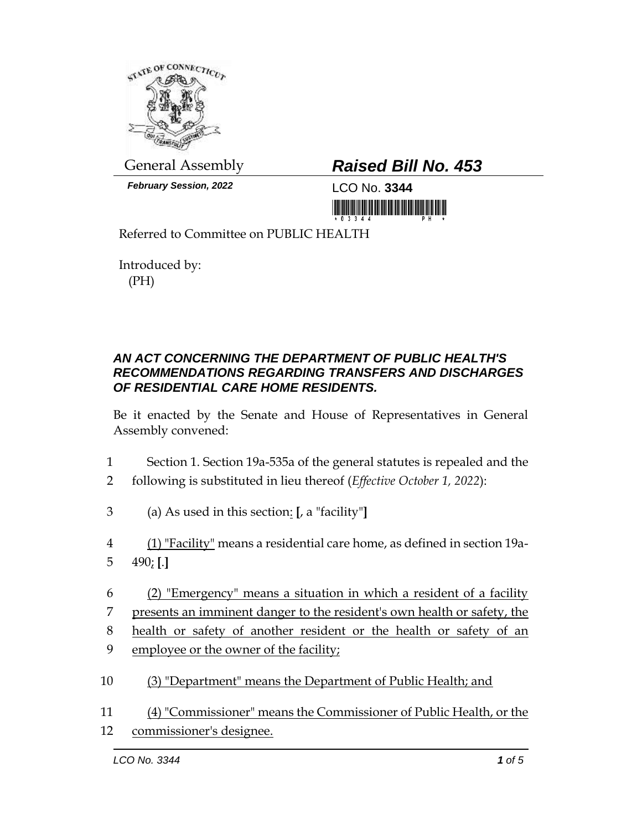

*February Session, 2022* LCO No. **3344**

## General Assembly *Raised Bill No. 453*

<u> III maa ka mid maalin maa ka mid maalin maa ka mid m</u>

Referred to Committee on PUBLIC HEALTH

Introduced by: (PH)

## *AN ACT CONCERNING THE DEPARTMENT OF PUBLIC HEALTH'S RECOMMENDATIONS REGARDING TRANSFERS AND DISCHARGES OF RESIDENTIAL CARE HOME RESIDENTS.*

Be it enacted by the Senate and House of Representatives in General Assembly convened:

- 1 Section 1. Section 19a-535a of the general statutes is repealed and the
- 2 following is substituted in lieu thereof (*Effective October 1, 2022*):
- 3 (a) As used in this section: **[**, a "facility"**]**
- 4 (1) "Facility" means a residential care home, as defined in section 19a-5 490; **[**.**]**
- 6 (2) "Emergency" means a situation in which a resident of a facility 7 presents an imminent danger to the resident's own health or safety, the 8 health or safety of another resident or the health or safety of an
- 9 employee or the owner of the facility;
- 10 (3) "Department" means the Department of Public Health; and
- 11 (4) "Commissioner" means the Commissioner of Public Health, or the 12 commissioner's designee.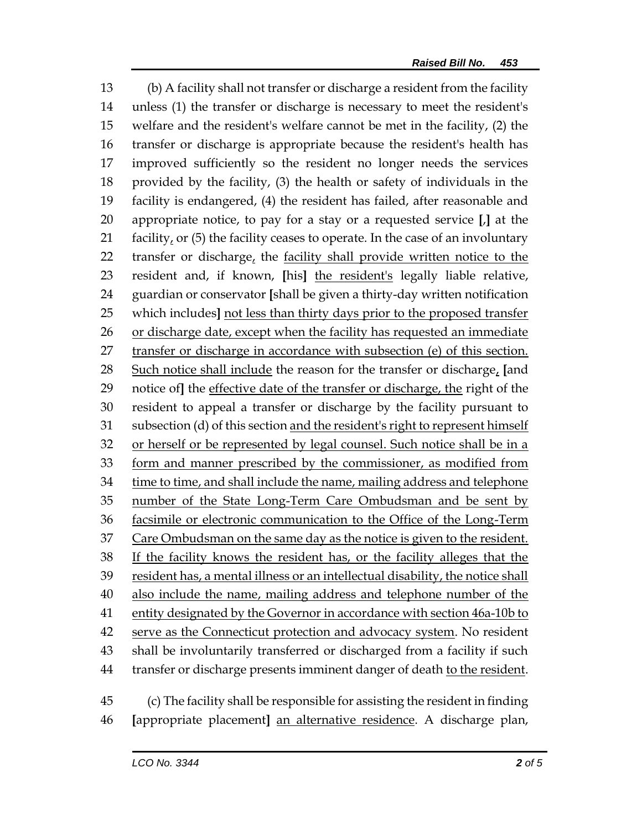(b) A facility shall not transfer or discharge a resident from the facility unless (1) the transfer or discharge is necessary to meet the resident's welfare and the resident's welfare cannot be met in the facility, (2) the transfer or discharge is appropriate because the resident's health has improved sufficiently so the resident no longer needs the services provided by the facility, (3) the health or safety of individuals in the facility is endangered, (4) the resident has failed, after reasonable and appropriate notice, to pay for a stay or a requested service **[**,**]** at the 21 facility, or (5) the facility ceases to operate. In the case of an involuntary 22 transfer or discharge, the facility shall provide written notice to the resident and, if known, **[**his**]** the resident's legally liable relative, guardian or conservator **[**shall be given a thirty-day written notification which includes**]** not less than thirty days prior to the proposed transfer or discharge date, except when the facility has requested an immediate transfer or discharge in accordance with subsection (e) of this section. Such notice shall include the reason for the transfer or discharge, **[**and notice of**]** the effective date of the transfer or discharge, the right of the resident to appeal a transfer or discharge by the facility pursuant to subsection (d) of this section and the resident's right to represent himself or herself or be represented by legal counsel. Such notice shall be in a form and manner prescribed by the commissioner, as modified from 34 time to time, and shall include the name, mailing address and telephone number of the State Long-Term Care Ombudsman and be sent by facsimile or electronic communication to the Office of the Long-Term 37 Care Ombudsman on the same day as the notice is given to the resident. 38 If the facility knows the resident has, or the facility alleges that the resident has, a mental illness or an intellectual disability, the notice shall also include the name, mailing address and telephone number of the 41 entity designated by the Governor in accordance with section 46a-10b to 42 serve as the Connecticut protection and advocacy system. No resident shall be involuntarily transferred or discharged from a facility if such transfer or discharge presents imminent danger of death to the resident. (c) The facility shall be responsible for assisting the resident in finding

**[**appropriate placement**]** an alternative residence. A discharge plan,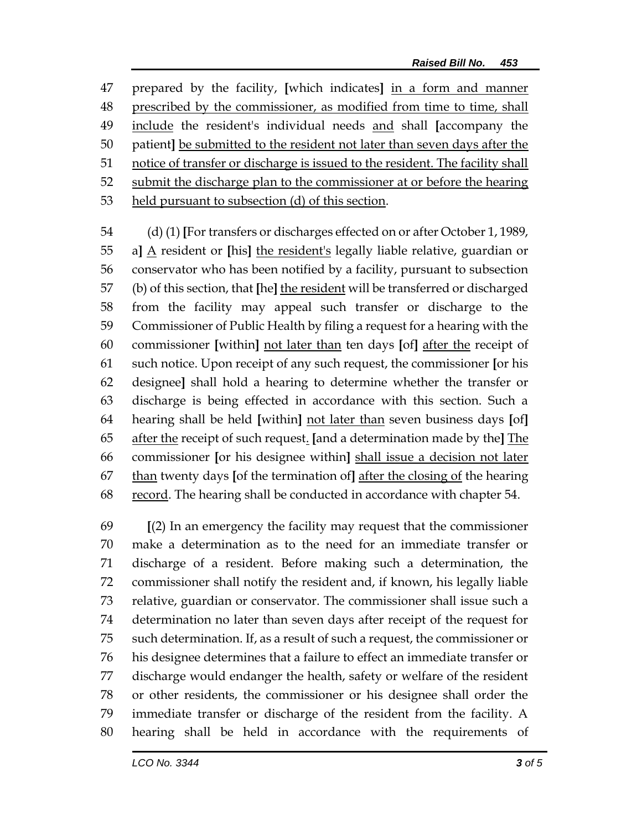prepared by the facility, **[**which indicates**]** in a form and manner prescribed by the commissioner, as modified from time to time, shall include the resident's individual needs and shall **[**accompany the patient**]** be submitted to the resident not later than seven days after the notice of transfer or discharge is issued to the resident. The facility shall submit the discharge plan to the commissioner at or before the hearing held pursuant to subsection (d) of this section.

 (d) (1) **[**For transfers or discharges effected on or after October 1, 1989, a**]** A resident or **[**his**]** the resident's legally liable relative, guardian or conservator who has been notified by a facility, pursuant to subsection (b) of this section, that **[**he**]** the resident will be transferred or discharged from the facility may appeal such transfer or discharge to the Commissioner of Public Health by filing a request for a hearing with the commissioner **[**within**]** not later than ten days **[**of**]** after the receipt of such notice. Upon receipt of any such request, the commissioner **[**or his designee**]** shall hold a hearing to determine whether the transfer or discharge is being effected in accordance with this section. Such a hearing shall be held **[**within**]** not later than seven business days **[**of**]** after the receipt of such request. **[**and a determination made by the**]** The commissioner **[**or his designee within**]** shall issue a decision not later than twenty days **[**of the termination of**]** after the closing of the hearing 68 record. The hearing shall be conducted in accordance with chapter 54.

 **[**(2) In an emergency the facility may request that the commissioner make a determination as to the need for an immediate transfer or discharge of a resident. Before making such a determination, the commissioner shall notify the resident and, if known, his legally liable relative, guardian or conservator. The commissioner shall issue such a determination no later than seven days after receipt of the request for such determination. If, as a result of such a request, the commissioner or his designee determines that a failure to effect an immediate transfer or discharge would endanger the health, safety or welfare of the resident or other residents, the commissioner or his designee shall order the immediate transfer or discharge of the resident from the facility. A hearing shall be held in accordance with the requirements of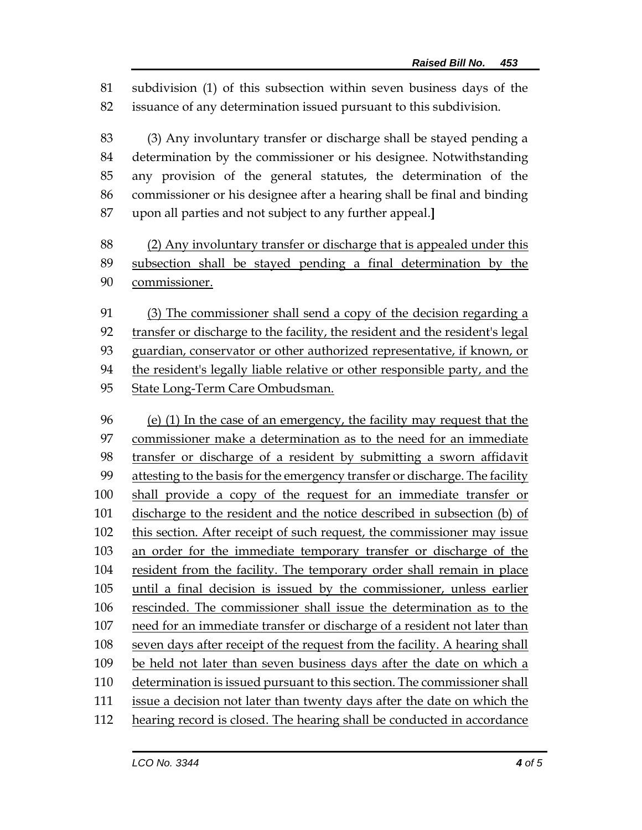subdivision (1) of this subsection within seven business days of the issuance of any determination issued pursuant to this subdivision.

 (3) Any involuntary transfer or discharge shall be stayed pending a determination by the commissioner or his designee. Notwithstanding any provision of the general statutes, the determination of the commissioner or his designee after a hearing shall be final and binding upon all parties and not subject to any further appeal.**]**

 (2) Any involuntary transfer or discharge that is appealed under this subsection shall be stayed pending a final determination by the commissioner.

 (3) The commissioner shall send a copy of the decision regarding a transfer or discharge to the facility, the resident and the resident's legal guardian, conservator or other authorized representative, if known, or the resident's legally liable relative or other responsible party, and the State Long-Term Care Ombudsman.

 (e) (1) In the case of an emergency, the facility may request that the commissioner make a determination as to the need for an immediate transfer or discharge of a resident by submitting a sworn affidavit 99 attesting to the basis for the emergency transfer or discharge. The facility shall provide a copy of the request for an immediate transfer or discharge to the resident and the notice described in subsection (b) of this section. After receipt of such request, the commissioner may issue an order for the immediate temporary transfer or discharge of the resident from the facility. The temporary order shall remain in place until a final decision is issued by the commissioner, unless earlier rescinded. The commissioner shall issue the determination as to the need for an immediate transfer or discharge of a resident not later than seven days after receipt of the request from the facility. A hearing shall be held not later than seven business days after the date on which a determination is issued pursuant to this section. The commissioner shall issue a decision not later than twenty days after the date on which the 112 hearing record is closed. The hearing shall be conducted in accordance